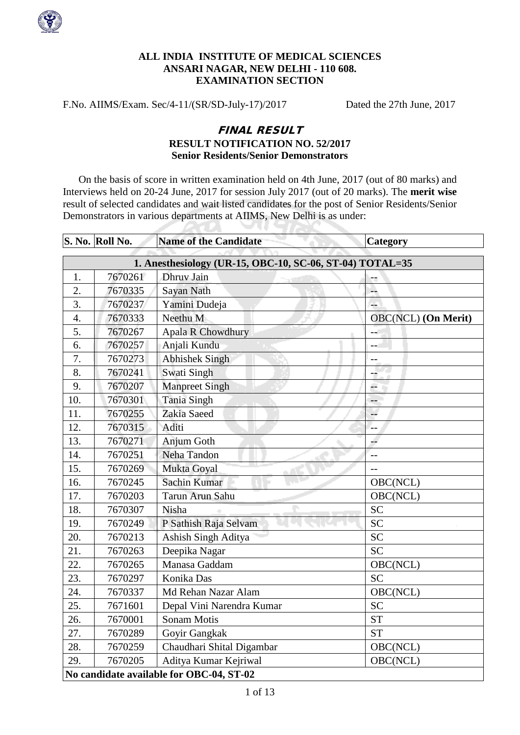

## **ALL INDIA INSTITUTE OF MEDICAL SCIENCES ANSARI NAGAR, NEW DELHI - 110 608. EXAMINATION SECTION**

F.No. AIIMS/Exam. Sec/4-11/(SR/SD-July-17)/2017 Dated the 27th June, 2017

**AU** 

## FINAL RESULT **RESULT NOTIFICATION NO. 52/2017 Senior Residents/Senior Demonstrators**

On the basis of score in written examination held on 4th June, 2017 (out of 80 marks) and Interviews held on 20-24 June, 2017 for session July 2017 (out of 20 marks). The **merit wise** result of selected candidates and wait listed candidates for the post of Senior Residents/Senior Demonstrators in various departments at AIIMS, New Delhi is as under:

**Service** 

|                  | S. No. Roll No.                                          | <b>Name of the Candidate</b> | Category                   |  |  |
|------------------|----------------------------------------------------------|------------------------------|----------------------------|--|--|
|                  | 1. Anesthesiology (UR-15, OBC-10, SC-06, ST-04) TOTAL=35 |                              |                            |  |  |
| 1.               | 7670261                                                  | Dhruv Jain                   |                            |  |  |
| 2.               | 7670335                                                  | Sayan Nath                   | Ξ.                         |  |  |
| 3.               | 7670237                                                  | Yamini Dudeja                | L.                         |  |  |
| $\overline{4}$ . | 7670333                                                  | Neethu M                     | <b>OBC(NCL)</b> (On Merit) |  |  |
| 5.               | 7670267                                                  | <b>Apala R Chowdhury</b>     | $-\pi$                     |  |  |
| 6.               | 7670257                                                  | Anjali Kundu                 |                            |  |  |
| 7.               | 7670273                                                  | <b>Abhishek Singh</b>        | $-$                        |  |  |
| 8.               | 7670241                                                  | Swati Singh                  | ÷,                         |  |  |
| 9.               | 7670207                                                  | <b>Manpreet Singh</b>        | ÷                          |  |  |
| 10.              | 7670301                                                  | <b>Tania Singh</b>           | $--$                       |  |  |
| 11.              | 7670255                                                  | Zakia Saeed                  | ù,                         |  |  |
| 12.              | 7670315                                                  | Aditi                        | --                         |  |  |
| 13.              | 7670271                                                  | Anjum Goth                   | 44                         |  |  |
| 14.              | 7670251                                                  | Neha Tandon                  |                            |  |  |
| 15.              | 7670269                                                  | Mukta Goyal                  | $-$                        |  |  |
| 16.              | 7670245                                                  | Sachin Kumar                 | OBC(NCL)                   |  |  |
| 17.              | 7670203                                                  | Tarun Arun Sahu              | OBC(NCL)                   |  |  |
| 18.              | 7670307                                                  | Nisha                        | <b>SC</b>                  |  |  |
| 19.              | 7670249                                                  | P Sathish Raja Selvam        | <b>SC</b>                  |  |  |
| 20.              | 7670213                                                  | Ashish Singh Aditya          | <b>SC</b>                  |  |  |
| 21.              | 7670263                                                  | Deepika Nagar                | <b>SC</b>                  |  |  |
| 22.              | 7670265                                                  | Manasa Gaddam                | OBC(NCL)                   |  |  |
| 23.              | 7670297                                                  | Konika Das                   | <b>SC</b>                  |  |  |
| 24.              | 7670337                                                  | Md Rehan Nazar Alam          | OBC(NCL)                   |  |  |
| 25.              | 7671601                                                  | Depal Vini Narendra Kumar    | <b>SC</b>                  |  |  |
| 26.              | 7670001                                                  | <b>Sonam Motis</b>           | <b>ST</b>                  |  |  |
| 27.              | 7670289                                                  | Goyir Gangkak                | <b>ST</b>                  |  |  |
| 28.              | 7670259                                                  | Chaudhari Shital Digambar    | OBC(NCL)                   |  |  |
| 29.              | 7670205                                                  | Aditya Kumar Kejriwal        | OBC(NCL)                   |  |  |
|                  | No candidate available for OBC-04, ST-02                 |                              |                            |  |  |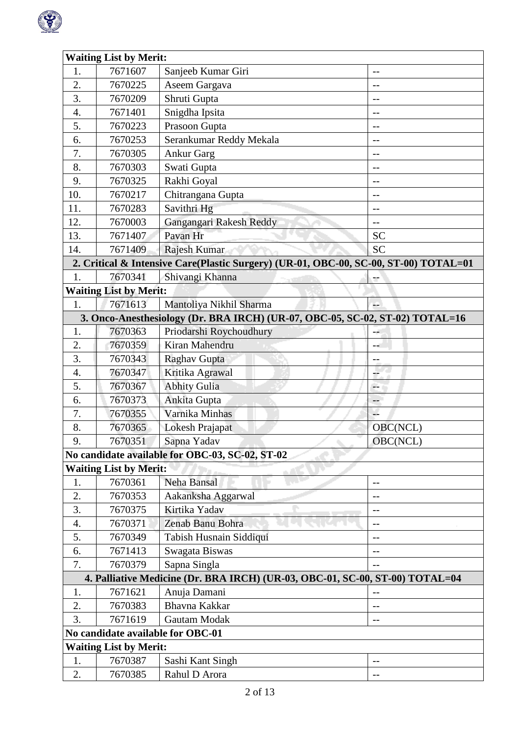

| <b>Waiting List by Merit:</b> |                               |                                                                                      |                             |  |
|-------------------------------|-------------------------------|--------------------------------------------------------------------------------------|-----------------------------|--|
| 1.                            | 7671607                       | Sanjeeb Kumar Giri                                                                   | $-$                         |  |
| 2.                            | 7670225                       | Aseem Gargava                                                                        | --                          |  |
| 3.                            | 7670209                       | Shruti Gupta                                                                         | --                          |  |
| 4.                            | 7671401                       | Snigdha Ipsita                                                                       | $-$                         |  |
| 5.                            | 7670223                       | Prasoon Gupta                                                                        | --                          |  |
| 6.                            | 7670253                       | Serankumar Reddy Mekala                                                              | $-$                         |  |
| 7.                            | 7670305                       | <b>Ankur Garg</b>                                                                    | --                          |  |
| 8.                            | 7670303                       | Swati Gupta                                                                          | $-$                         |  |
| 9.                            | 7670325                       | Rakhi Goyal                                                                          | --                          |  |
| 10.                           | 7670217                       | Chitrangana Gupta                                                                    | $-$                         |  |
| 11.                           | 7670283                       | Savithri Hg                                                                          | --                          |  |
| 12.                           | 7670003                       | Gangangari Rakesh Reddy                                                              | $-$                         |  |
| 13.                           | 7671407                       | Pavan Hr                                                                             | <b>SC</b>                   |  |
| 14.                           | 7671409                       | Rajesh Kumar                                                                         | <b>SC</b>                   |  |
|                               |                               | 2. Critical & Intensive Care(Plastic Surgery) (UR-01, OBC-00, SC-00, ST-00) TOTAL=01 |                             |  |
| 1.                            | 7670341                       | Shivangi Khanna                                                                      |                             |  |
|                               | <b>Waiting List by Merit:</b> |                                                                                      |                             |  |
| 1.                            | 7671613                       | Mantoliya Nikhil Sharma                                                              | L.                          |  |
|                               |                               | 3. Onco-Anesthesiology (Dr. BRA IRCH) (UR-07, OBC-05, SC-02, ST-02) TOTAL=16         |                             |  |
| 1.                            | 7670363                       | Priodarshi Roychoudhury                                                              |                             |  |
| 2.                            | 7670359                       | Kiran Mahendru                                                                       |                             |  |
| 3.                            | 7670343                       | Raghav Gupta                                                                         | --                          |  |
| $\overline{4}$ .              | 7670347                       | Kritika Agrawal                                                                      |                             |  |
| 5.                            | 7670367                       | <b>Abhity Gulia</b>                                                                  | $\mathcal{L}_{\mathcal{L}}$ |  |
| 6.                            | 7670373                       | Ankita Gupta                                                                         | --                          |  |
| 7.                            | 7670355                       | Varnika Minhas                                                                       | μ.                          |  |
| 8.                            | 7670365                       | Lokesh Prajapat                                                                      | OBC(NCL)                    |  |
| 9.                            | 7670351                       | Sapna Yadav                                                                          | OBC(NCL)                    |  |
|                               |                               | No candidate available for OBC-03, SC-02, ST-02                                      |                             |  |
|                               | <b>Waiting List by Merit:</b> |                                                                                      |                             |  |
| 1.                            | 7670361                       | Neha Bansal                                                                          |                             |  |
| 2.                            | 7670353                       | Aakanksha Aggarwal                                                                   | --                          |  |
| 3.                            | 7670375                       | Kirtika Yadav                                                                        |                             |  |
| 4.                            | 7670371                       | Zenab Banu Bohra                                                                     |                             |  |
| 5.                            | 7670349                       | Tabish Husnain Siddiqui                                                              | --                          |  |
| 6.                            | 7671413                       | Swagata Biswas                                                                       |                             |  |
| 7.                            | 7670379                       | Sapna Singla                                                                         | $-$                         |  |
|                               |                               | 4. Palliative Medicine (Dr. BRA IRCH) (UR-03, OBC-01, SC-00, ST-00) TOTAL=04         |                             |  |
| 1.                            | 7671621                       | Anuja Damani                                                                         |                             |  |
| 2.                            | 7670383                       | <b>Bhavna Kakkar</b>                                                                 | $-$                         |  |
| 3.                            | 7671619                       | Gautam Modak                                                                         |                             |  |
|                               |                               | No candidate available for OBC-01                                                    |                             |  |
| <b>Waiting List by Merit:</b> |                               |                                                                                      |                             |  |
| 1.                            | 7670387                       | Sashi Kant Singh                                                                     | --                          |  |
| 2.                            | 7670385                       | Rahul D Arora                                                                        | --                          |  |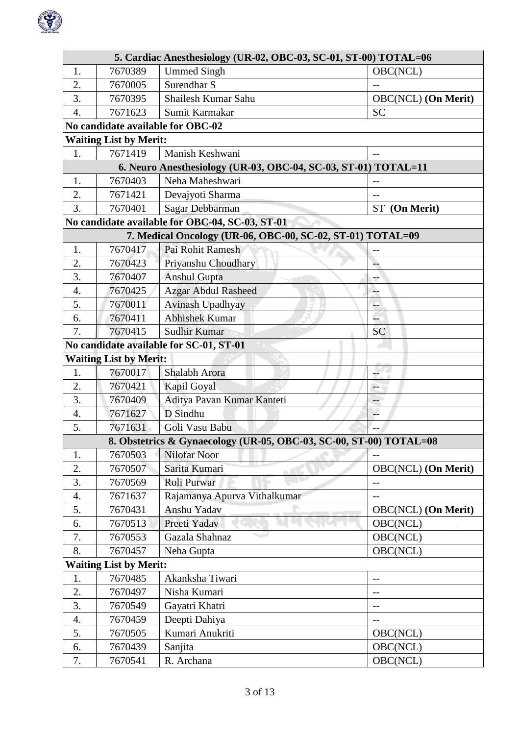

|                  | 5. Cardiac Anesthesiology (UR-02, OBC-03, SC-01, ST-00) TOTAL=06 |                                                                    |                            |  |  |
|------------------|------------------------------------------------------------------|--------------------------------------------------------------------|----------------------------|--|--|
| 1.               | 7670389                                                          | <b>Ummed Singh</b>                                                 | OBC(NCL)                   |  |  |
| 2.               | 7670005                                                          | Surendhar S                                                        |                            |  |  |
| 3.               | 7670395                                                          | Shailesh Kumar Sahu                                                | <b>OBC(NCL)</b> (On Merit) |  |  |
| $\overline{4}$ . | 7671623                                                          | Sumit Karmakar                                                     | <b>SC</b>                  |  |  |
|                  |                                                                  | No candidate available for OBC-02                                  |                            |  |  |
|                  | <b>Waiting List by Merit:</b>                                    |                                                                    |                            |  |  |
| 1.               | 7671419                                                          | Manish Keshwani                                                    | $-$                        |  |  |
|                  |                                                                  | 6. Neuro Anesthesiology (UR-03, OBC-04, SC-03, ST-01) TOTAL=11     |                            |  |  |
| 1.               | 7670403                                                          | Neha Maheshwari                                                    |                            |  |  |
| 2.               | 7671421                                                          | Devajyoti Sharma                                                   | $-$                        |  |  |
| 3.               | 7670401                                                          | Sagar Debbarman                                                    | ST (On Merit)              |  |  |
|                  |                                                                  | No candidate available for OBC-04, SC-03, ST-01                    |                            |  |  |
|                  |                                                                  | 7. Medical Oncology (UR-06, OBC-00, SC-02, ST-01) TOTAL=09         |                            |  |  |
| 1.               | 7670417                                                          | Pai Rohit Ramesh                                                   | $-$                        |  |  |
| 2.               | 7670423                                                          | Priyanshu Choudhary                                                |                            |  |  |
| 3.               | 7670407                                                          | <b>Anshul Gupta</b>                                                |                            |  |  |
| $\overline{4}$ . | 7670425                                                          | <b>Azgar Abdul Rasheed</b>                                         | --                         |  |  |
| 5.               | 7670011                                                          | Avinash Upadhyay                                                   | --                         |  |  |
| 6.               | 7670411                                                          | <b>Abhishek Kumar</b>                                              | L.                         |  |  |
| 7.               | 7670415                                                          | Sudhir Kumar                                                       | <b>SC</b>                  |  |  |
|                  |                                                                  | No candidate available for SC-01, ST-01                            |                            |  |  |
|                  | <b>Waiting List by Merit:</b>                                    |                                                                    |                            |  |  |
| 1.               | 7670017                                                          | Shalabh Arora                                                      | ÷                          |  |  |
| 2.               | 7670421                                                          | Kapil Goyal                                                        | ÷.                         |  |  |
| 3.               | 7670409                                                          | Aditya Pavan Kumar Kanteti                                         |                            |  |  |
| $\overline{4}$ . | 7671627                                                          | D Sindhu                                                           | u.                         |  |  |
| 5.               | 7671631                                                          | Goli Vasu Babu                                                     |                            |  |  |
|                  |                                                                  | 8. Obstetrics & Gynaecology (UR-05, OBC-03, SC-00, ST-00) TOTAL=08 |                            |  |  |
| 1.<br>2.         | 7670503<br>7670507                                               | Nilofar Noor<br>Sarita Kumari                                      | <b>OBC(NCL)</b> (On Merit) |  |  |
| 3.               | 7670569                                                          | Roli Purwar                                                        |                            |  |  |
| 4.               | 7671637                                                          | Rajamanya Apurva Vithalkumar                                       | --<br>$-$                  |  |  |
| 5.               | 7670431                                                          | Anshu Yadav                                                        | OBC(NCL) (On Merit)        |  |  |
| 6.               | 7670513                                                          | Preeti Yadav                                                       | OBC(NCL)                   |  |  |
| 7.               | 7670553                                                          | Gazala Shahnaz                                                     | OBC(NCL)                   |  |  |
| 8.               | 7670457                                                          | Neha Gupta                                                         | OBC(NCL)                   |  |  |
|                  | <b>Waiting List by Merit:</b>                                    |                                                                    |                            |  |  |
| 1.               | 7670485                                                          | Akanksha Tiwari                                                    | $-$                        |  |  |
| 2.               | 7670497                                                          | Nisha Kumari                                                       | $-$                        |  |  |
| 3.               | 7670549                                                          | Gayatri Khatri                                                     | $-$                        |  |  |
| 4.               | 7670459                                                          | Deepti Dahiya                                                      | $-$                        |  |  |
| 5.               | 7670505                                                          | Kumari Anukriti                                                    | OBC(NCL)                   |  |  |
| 6.               | 7670439                                                          | Sanjita                                                            | OBC(NCL)                   |  |  |
| 7.               | 7670541                                                          | R. Archana                                                         | OBC(NCL)                   |  |  |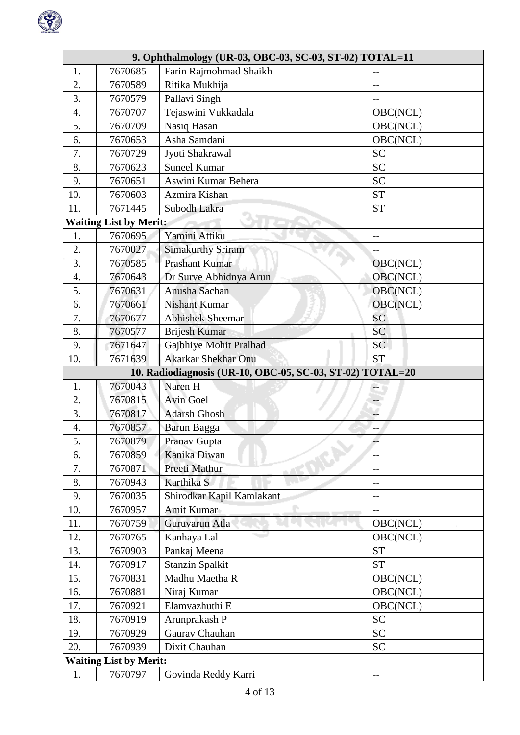

|                    | 9. Ophthalmology (UR-03, OBC-03, SC-03, ST-02) TOTAL=11 |                                                           |           |  |  |
|--------------------|---------------------------------------------------------|-----------------------------------------------------------|-----------|--|--|
| 1.                 | 7670685                                                 | Farin Rajmohmad Shaikh                                    | $-$       |  |  |
| 2.                 | 7670589                                                 | Ritika Mukhija                                            |           |  |  |
| 3.                 | 7670579                                                 | Pallavi Singh                                             | $-$       |  |  |
| 4.                 | 7670707                                                 | Tejaswini Vukkadala                                       | OBC(NCL)  |  |  |
| 5.                 | 7670709                                                 | Nasiq Hasan                                               | OBC(NCL)  |  |  |
| 6.                 | 7670653                                                 | Asha Samdani                                              | OBC(NCL)  |  |  |
| 7.                 | 7670729                                                 | Jyoti Shakrawal                                           | <b>SC</b> |  |  |
| 8.                 | 7670623                                                 | <b>Suneel Kumar</b>                                       | <b>SC</b> |  |  |
| 9.                 | 7670651                                                 | Aswini Kumar Behera                                       | <b>SC</b> |  |  |
| 10.                | 7670603                                                 | Azmira Kishan                                             | <b>ST</b> |  |  |
| 11.                | 7671445                                                 | Subodh Lakra                                              | <b>ST</b> |  |  |
|                    | <b>Waiting List by Merit:</b>                           |                                                           |           |  |  |
| 1.                 | 7670695                                                 | Yamini Attiku                                             | $-$       |  |  |
| 2.                 | 7670027                                                 | <b>Simakurthy Sriram</b>                                  | $-$       |  |  |
| 3.                 | 7670585                                                 | <b>Prashant Kumar</b>                                     | OBC(NCL)  |  |  |
| $\boldsymbol{4}$ . | 7670643                                                 | Dr Surve Abhidnya Arun                                    | OBC(NCL)  |  |  |
| 5.                 | 7670631                                                 | Anusha Sachan                                             | OBC(NCL)  |  |  |
| 6.                 | 7670661                                                 | <b>Nishant Kumar</b>                                      | OBC(NCL)  |  |  |
| 7.                 | 7670677                                                 | <b>Abhishek Sheemar</b>                                   | <b>SC</b> |  |  |
| 8.                 | 7670577                                                 | <b>Brijesh Kumar</b>                                      | <b>SC</b> |  |  |
| 9.                 | 7671647                                                 | Gajbhiye Mohit Pralhad                                    | <b>SC</b> |  |  |
| 10.                | 7671639                                                 | <b>Akarkar Shekhar Onu</b>                                | <b>ST</b> |  |  |
|                    |                                                         | 10. Radiodiagnosis (UR-10, OBC-05, SC-03, ST-02) TOTAL=20 |           |  |  |
| 1.                 | 7670043                                                 | Naren H                                                   | 44        |  |  |
| 2.                 | 7670815                                                 | <b>Avin Goel</b>                                          | $-$       |  |  |
| 3.                 | 7670817                                                 | <b>Adarsh Ghosh</b>                                       | L.        |  |  |
| 4.                 | 7670857                                                 | Barun Bagga                                               | $-$       |  |  |
| 5.                 | 7670879                                                 | Pranav Gupta                                              | $- -$     |  |  |
| 6.                 | 7670859                                                 | Kanika Diwan                                              | $-$       |  |  |
| 7.                 | 7670871                                                 | Preeti Mathur                                             | $-$       |  |  |
| 8.                 | 7670943                                                 | Karthika S                                                | --        |  |  |
| 9.                 | 7670035                                                 | Shirodkar Kapil Kamlakant                                 |           |  |  |
| 10.                | 7670957                                                 | Amit Kumar                                                | $-$       |  |  |
| 11.                | 7670759                                                 | Guruvarun Atla                                            | OBC(NCL)  |  |  |
| 12.                | 7670765                                                 | Kanhaya Lal                                               | OBC(NCL)  |  |  |
| 13.                | 7670903                                                 | Pankaj Meena                                              | <b>ST</b> |  |  |
| 14.                | 7670917                                                 | <b>Stanzin Spalkit</b>                                    | <b>ST</b> |  |  |
| 15.                | 7670831                                                 | Madhu Maetha R                                            | OBC(NCL)  |  |  |
| 16.                | 7670881                                                 | Niraj Kumar                                               | OBC(NCL)  |  |  |
| 17.                | 7670921                                                 | Elamvazhuthi E                                            | OBC(NCL)  |  |  |
| 18.                | 7670919                                                 | Arunprakash P                                             | <b>SC</b> |  |  |
| 19.                | 7670929                                                 | Gaurav Chauhan                                            | <b>SC</b> |  |  |
| 20.                | 7670939                                                 | Dixit Chauhan                                             | <b>SC</b> |  |  |
|                    | <b>Waiting List by Merit:</b>                           |                                                           |           |  |  |
| 1.                 | 7670797                                                 | Govinda Reddy Karri                                       | $-$       |  |  |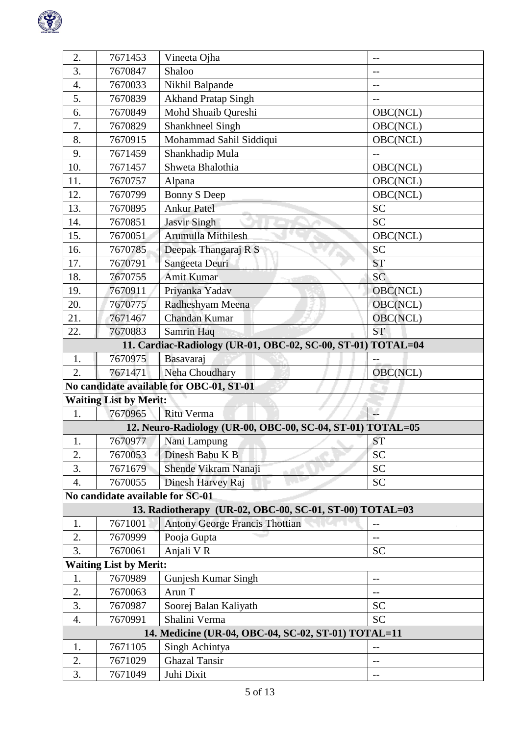

| 2.               | 7671453                                  | Vineeta Ojha                                                 | $-$       |  |  |
|------------------|------------------------------------------|--------------------------------------------------------------|-----------|--|--|
| 3.               | 7670847                                  | Shaloo                                                       | $-$       |  |  |
| 4.               | 7670033                                  | Nikhil Balpande                                              | $-$       |  |  |
| 5.               | 7670839                                  | <b>Akhand Pratap Singh</b>                                   | --        |  |  |
| 6.               | 7670849                                  | Mohd Shuaib Qureshi                                          | OBC(NCL)  |  |  |
| 7.               | 7670829                                  | Shankhneel Singh                                             | OBC(NCL)  |  |  |
| 8.               | 7670915                                  | Mohammad Sahil Siddiqui                                      | OBC(NCL)  |  |  |
| 9.               | 7671459                                  | Shankhadip Mula                                              | $-$       |  |  |
| 10.              | 7671457                                  | Shweta Bhalothia                                             | OBC(NCL)  |  |  |
| 11.              | 7670757                                  | Alpana                                                       | OBC(NCL)  |  |  |
| 12.              | 7670799                                  | Bonny S Deep                                                 | OBC(NCL)  |  |  |
| 13.              | 7670895                                  | <b>Ankur Patel</b>                                           | <b>SC</b> |  |  |
| 14.              | 7670851                                  | <b>Jasvir Singh</b>                                          | <b>SC</b> |  |  |
| 15.              | 7670051                                  | Arumulla Mithilesh                                           | OBC(NCL)  |  |  |
| 16.              | 7670785                                  | Deepak Thangaraj R S                                         | <b>SC</b> |  |  |
| 17.              | 7670791                                  | Sangeeta Deuri                                               | <b>ST</b> |  |  |
| 18.              | 7670755                                  | Amit Kumar                                                   | <b>SC</b> |  |  |
| 19.              | 7670911                                  | Priyanka Yadav                                               | OBC(NCL)  |  |  |
| 20.              | 7670775                                  | Radheshyam Meena                                             | OBC(NCL)  |  |  |
| 21.              | 7671467                                  | Chandan Kumar                                                | OBC(NCL)  |  |  |
| 22.              | 7670883                                  | Samrin Haq                                                   | <b>ST</b> |  |  |
|                  |                                          | 11. Cardiac-Radiology (UR-01, OBC-02, SC-00, ST-01) TOTAL=04 |           |  |  |
| 1.               | 7670975                                  | Basavaraj                                                    | $-$       |  |  |
| $\overline{2}$ . | 7671471                                  | Neha Choudhary                                               | OBC(NCL)  |  |  |
|                  | No candidate available for OBC-01, ST-01 |                                                              |           |  |  |
|                  | <b>Waiting List by Merit:</b>            |                                                              |           |  |  |
| 1.               | 7670965                                  | Ritu Verma                                                   |           |  |  |
|                  |                                          | 12. Neuro-Radiology (UR-00, OBC-00, SC-04, ST-01) TOTAL=05   |           |  |  |
| 1.               |                                          | 7670977 Nani Lampung                                         | <b>ST</b> |  |  |
| 2.               | 7670053                                  | Dinesh Babu K B                                              | <b>SC</b> |  |  |
| 3.               | 7671679                                  | Shende Vikram Nanaji                                         | <b>SC</b> |  |  |
| 4.               | 7670055                                  | Dinesh Harvey Raj                                            | <b>SC</b> |  |  |
|                  | No candidate available for SC-01         |                                                              |           |  |  |
|                  |                                          | 13. Radiotherapy (UR-02, OBC-00, SC-01, ST-00) TOTAL=03      |           |  |  |
| 1.               | 7671001                                  | <b>Antony George Francis Thottian</b>                        | $-$       |  |  |
| 2.               | 7670999                                  | Pooja Gupta                                                  | $-$       |  |  |
| 3.               | 7670061                                  | Anjali VR                                                    | <b>SC</b> |  |  |
|                  | <b>Waiting List by Merit:</b>            |                                                              |           |  |  |
| 1.               | 7670989                                  | Gunjesh Kumar Singh                                          | $-$       |  |  |
| 2.               | 7670063                                  | Arun T                                                       | --        |  |  |
| 3.               | 7670987                                  | Soorej Balan Kaliyath                                        | <b>SC</b> |  |  |
| 4.               | 7670991                                  | Shalini Verma                                                | <b>SC</b> |  |  |
|                  |                                          | 14. Medicine (UR-04, OBC-04, SC-02, ST-01) TOTAL=11          |           |  |  |
| 1.               | 7671105                                  | Singh Achintya                                               | $-$       |  |  |
| 2.               | 7671029                                  | <b>Ghazal Tansir</b>                                         | --        |  |  |
| 3.               | 7671049                                  | Juhi Dixit                                                   | $-$       |  |  |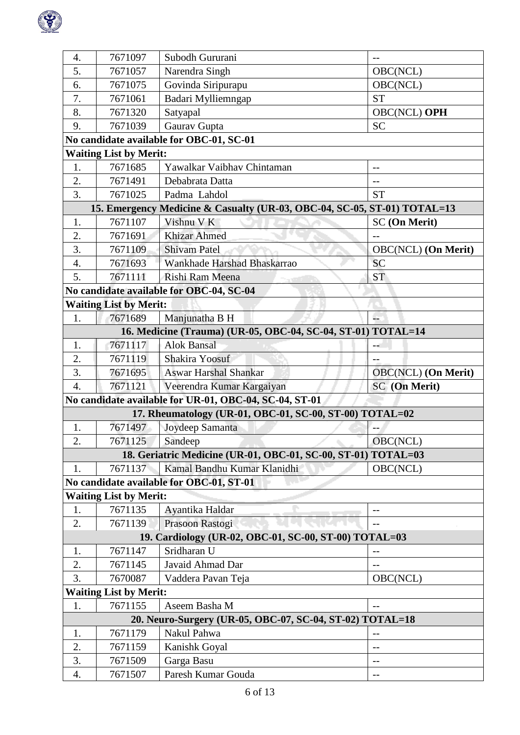

| $\overline{4}$ . | 7671097                       | Subodh Gururani                                                          |                            |  |  |
|------------------|-------------------------------|--------------------------------------------------------------------------|----------------------------|--|--|
| 5.               | 7671057                       | Narendra Singh                                                           | OBC(NCL)                   |  |  |
| 6.               | 7671075                       | Govinda Siripurapu                                                       | OBC(NCL)                   |  |  |
| 7.               | 7671061                       | Badari Mylliemngap                                                       | <b>ST</b>                  |  |  |
| 8.               | 7671320                       | Satyapal                                                                 | OBC(NCL) OPH               |  |  |
| 9.               | 7671039                       | Gaurav Gupta                                                             | <b>SC</b>                  |  |  |
|                  |                               | No candidate available for OBC-01, SC-01                                 |                            |  |  |
|                  | <b>Waiting List by Merit:</b> |                                                                          |                            |  |  |
| 1.               | 7671685                       | Yawalkar Vaibhav Chintaman                                               |                            |  |  |
| 2.               | 7671491                       | Debabrata Datta                                                          | $-$                        |  |  |
| 3.               | 7671025                       | Padma Lahdol                                                             | <b>ST</b>                  |  |  |
|                  |                               | 15. Emergency Medicine & Casualty (UR-03, OBC-04, SC-05, ST-01) TOTAL=13 |                            |  |  |
| 1.               | 7671107                       | Vishnu V K                                                               | <b>SC</b> (On Merit)       |  |  |
| 2.               | 7671691                       | <b>Khizar Ahmed</b>                                                      | $-$                        |  |  |
| 3.               | 7671109                       | <b>Shivam Patel</b>                                                      | <b>OBC(NCL)</b> (On Merit) |  |  |
| $\overline{4}$ . | 7671693                       | Wankhade Harshad Bhaskarrao                                              | <b>SC</b>                  |  |  |
| 5.               | 7671111                       | Rishi Ram Meena                                                          | <b>ST</b>                  |  |  |
|                  |                               | No candidate available for OBC-04, SC-04                                 |                            |  |  |
|                  | <b>Waiting List by Merit:</b> |                                                                          |                            |  |  |
| 1.               | 7671689                       | Manjunatha B H                                                           | L.                         |  |  |
|                  |                               | 16. Medicine (Trauma) (UR-05, OBC-04, SC-04, ST-01) TOTAL=14             |                            |  |  |
| 1.               | 7671117                       | <b>Alok Bansal</b>                                                       |                            |  |  |
| 2.               | 7671119                       | Shakira Yoosuf                                                           | $-$                        |  |  |
| 3.               | 7671695                       | <b>Aswar Harshal Shankar</b>                                             | <b>OBC(NCL)</b> (On Merit) |  |  |
| $\overline{4}$ . | 7671121                       | Veerendra Kumar Kargaiyan                                                | SC (On Merit)              |  |  |
|                  |                               | No candidate available for UR-01, OBC-04, SC-04, ST-01                   |                            |  |  |
|                  |                               | 17. Rheumatology (UR-01, OBC-01, SC-00, ST-00) TOTAL=02                  |                            |  |  |
| $\mathbf{1}$ .   | 7671497                       | Joydeep Samanta                                                          |                            |  |  |
| 2.               | 7671125                       | Sandeep                                                                  | OBC(NCL)                   |  |  |
|                  |                               | 18. Geriatric Medicine (UR-01, OBC-01, SC-00, ST-01)                     | TOTAL=03                   |  |  |
| 1.               | 7671137                       | Kamal Bandhu Kumar Klanidhi                                              | OBC(NCL)                   |  |  |
|                  |                               | No candidate available for OBC-01, ST-01                                 |                            |  |  |
|                  | <b>Waiting List by Merit:</b> |                                                                          |                            |  |  |
| 1.               | 7671135                       | Ayantika Haldar                                                          |                            |  |  |
| 2.               | 7671139                       | Prasoon Rastogi                                                          |                            |  |  |
|                  |                               | 19. Cardiology (UR-02, OBC-01, SC-00, ST-00) TOTAL=03                    |                            |  |  |
| 1.               | 7671147                       | Sridharan U                                                              |                            |  |  |
| 2.               | 7671145                       | Javaid Ahmad Dar                                                         | $-$                        |  |  |
| 3.               | 7670087                       | Vaddera Pavan Teja                                                       | OBC(NCL)                   |  |  |
|                  | <b>Waiting List by Merit:</b> |                                                                          |                            |  |  |
| 1.               | 7671155                       | Aseem Basha M                                                            | $- -$                      |  |  |
|                  |                               | 20. Neuro-Surgery (UR-05, OBC-07, SC-04, ST-02) TOTAL=18                 |                            |  |  |
| 1.               | 7671179                       | Nakul Pahwa                                                              |                            |  |  |
| 2.               | 7671159                       | Kanishk Goyal                                                            | --                         |  |  |
| 3.               | 7671509                       | Garga Basu                                                               |                            |  |  |
| 4.               | 7671507                       | Paresh Kumar Gouda                                                       | $-$                        |  |  |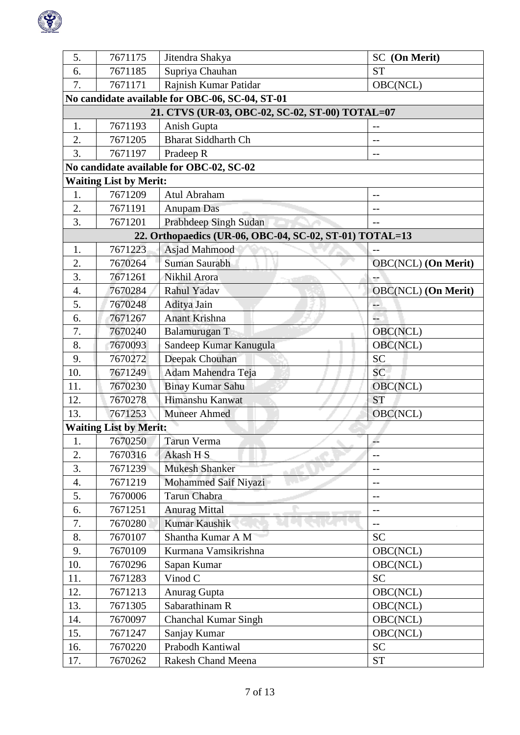

| 5.  | 7671175                                         | Jitendra Shakya                                         | SC (On Merit)              |  |  |
|-----|-------------------------------------------------|---------------------------------------------------------|----------------------------|--|--|
| 6.  | 7671185                                         | Supriya Chauhan                                         | <b>ST</b>                  |  |  |
| 7.  | 7671171                                         | Rajnish Kumar Patidar                                   | OBC(NCL)                   |  |  |
|     |                                                 | No candidate available for OBC-06, SC-04, ST-01         |                            |  |  |
|     | 21. CTVS (UR-03, OBC-02, SC-02, ST-00) TOTAL=07 |                                                         |                            |  |  |
| 1.  | 7671193                                         | Anish Gupta                                             |                            |  |  |
| 2.  | 7671205                                         | <b>Bharat Siddharth Ch</b>                              | $-$                        |  |  |
| 3.  | 7671197                                         | Pradeep R                                               | $-$                        |  |  |
|     |                                                 | No candidate available for OBC-02, SC-02                |                            |  |  |
|     | <b>Waiting List by Merit:</b>                   |                                                         |                            |  |  |
| 1.  | 7671209                                         | Atul Abraham                                            | --                         |  |  |
| 2.  | 7671191                                         | Anupam Das                                              | $-$                        |  |  |
| 3.  | 7671201                                         | Prabhdeep Singh Sudan                                   | $-$                        |  |  |
|     |                                                 | 22. Orthopaedics (UR-06, OBC-04, SC-02, ST-01) TOTAL=13 |                            |  |  |
| 1.  | 7671223                                         | Asjad Mahmood                                           | $-1$                       |  |  |
| 2.  | 7670264                                         | Suman Saurabh                                           | <b>OBC(NCL)</b> (On Merit) |  |  |
| 3.  | 7671261                                         | Nikhil Arora                                            |                            |  |  |
| 4.  | 7670284                                         | Rahul Yadav                                             | <b>OBC(NCL)</b> (On Merit) |  |  |
| 5.  | 7670248                                         | Aditya Jain                                             | --                         |  |  |
| 6.  | 7671267                                         | <b>Anant Krishna</b>                                    | L.                         |  |  |
| 7.  | 7670240                                         | Balamurugan T                                           | OBC(NCL)                   |  |  |
| 8.  | 7670093                                         | Sandeep Kumar Kanugula                                  | OBC(NCL)                   |  |  |
| 9.  | 7670272                                         | Deepak Chouhan                                          | <b>SC</b>                  |  |  |
| 10. | 7671249                                         | Adam Mahendra Teja                                      | SC                         |  |  |
| 11. | 7670230                                         | <b>Binay Kumar Sahu</b>                                 | OBC(NCL)                   |  |  |
| 12. | 7670278                                         | Himanshu Kanwat                                         | <b>ST</b>                  |  |  |
| 13. | 7671253                                         | <b>Muneer Ahmed</b>                                     | OBC(NCL)                   |  |  |
|     | <b>Waiting List by Merit:</b>                   |                                                         |                            |  |  |
| 1.  | 7670250                                         | Tarun Verma                                             |                            |  |  |
| 2.  | 7670316                                         | Akash H S                                               | $-$                        |  |  |
| 3.  | 7671239                                         | <b>Mukesh Shanker</b>                                   | $-$                        |  |  |
| 4.  | 7671219                                         | Mohammed Saif Niyazi                                    |                            |  |  |
| 5.  | 7670006                                         | Tarun Chabra                                            | $-$                        |  |  |
| 6.  | 7671251                                         | <b>Anurag Mittal</b>                                    | $-1$                       |  |  |
| 7.  | 7670280                                         | Kumar Kaushik                                           | --                         |  |  |
| 8.  | 7670107                                         | Shantha Kumar A M                                       | <b>SC</b>                  |  |  |
| 9.  | 7670109                                         | Kurmana Vamsikrishna                                    | OBC(NCL)                   |  |  |
| 10. | 7670296                                         | Sapan Kumar                                             | OBC(NCL)                   |  |  |
| 11. | 7671283                                         | Vinod C                                                 | <b>SC</b>                  |  |  |
| 12. | 7671213                                         | Anurag Gupta                                            | OBC(NCL)                   |  |  |
| 13. | 7671305                                         | Sabarathinam R                                          | OBC(NCL)                   |  |  |
| 14. | 7670097                                         | Chanchal Kumar Singh                                    | OBC(NCL)                   |  |  |
| 15. | 7671247                                         | Sanjay Kumar                                            | OBC(NCL)                   |  |  |
| 16. | 7670220                                         | Prabodh Kantiwal                                        | <b>SC</b>                  |  |  |
| 17. | 7670262                                         | <b>Rakesh Chand Meena</b>                               | <b>ST</b>                  |  |  |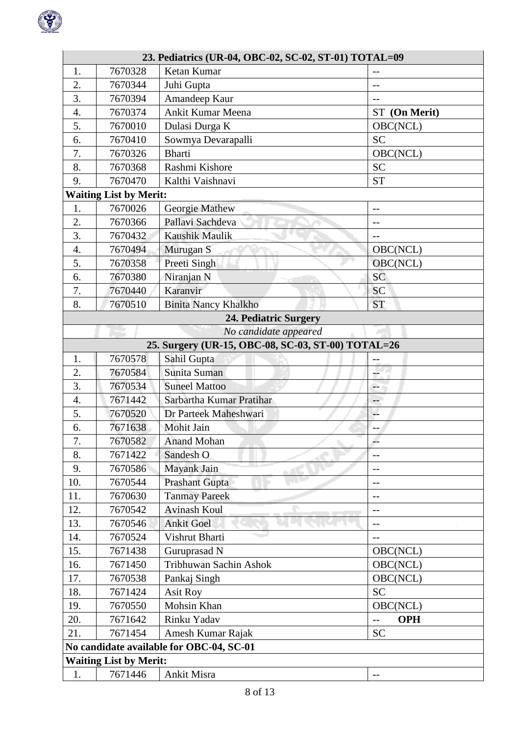

|                                          | 23. Pediatrics (UR-04, OBC-02, SC-02, ST-01) TOTAL=09 |                                                    |                   |  |  |
|------------------------------------------|-------------------------------------------------------|----------------------------------------------------|-------------------|--|--|
| 1.                                       | 7670328                                               | Ketan Kumar                                        |                   |  |  |
| 2.                                       | 7670344                                               | Juhi Gupta                                         | $-$               |  |  |
| 3.                                       | 7670394                                               | Amandeep Kaur                                      | $-$               |  |  |
| $\overline{4}$ .                         | 7670374                                               | Ankit Kumar Meena                                  | ST (On Merit)     |  |  |
| 5.                                       | 7670010                                               | Dulasi Durga K                                     | OBC(NCL)          |  |  |
| 6.                                       | 7670410                                               | Sowmya Devarapalli                                 | <b>SC</b>         |  |  |
| 7.                                       | 7670326                                               | <b>Bharti</b>                                      | OBC(NCL)          |  |  |
| 8.                                       | 7670368                                               | Rashmi Kishore                                     | <b>SC</b>         |  |  |
| 9.                                       | 7670470                                               | Kalthi Vaishnavi                                   | <b>ST</b>         |  |  |
|                                          | <b>Waiting List by Merit:</b>                         |                                                    |                   |  |  |
| 1.                                       | 7670026                                               | Georgie Mathew                                     | $-$               |  |  |
| 2.                                       | 7670366                                               | Pallavi Sachdeva                                   | $-$               |  |  |
| 3.                                       | 7670432                                               | Kaushik Maulik                                     | $-$               |  |  |
| 4.                                       | 7670494                                               | Murugan S                                          | OBC(NCL)          |  |  |
| 5.                                       | 7670358                                               | Preeti Singh                                       | OBC(NCL)          |  |  |
| 6.                                       | 7670380                                               | Niranjan N                                         | <b>SC</b>         |  |  |
| 7.                                       | 7670440                                               | Karanvir                                           | <b>SC</b>         |  |  |
| 8.                                       | 7670510                                               | <b>Binita Nancy Khalkho</b>                        | <b>ST</b>         |  |  |
|                                          |                                                       | 24. Pediatric Surgery                              |                   |  |  |
|                                          |                                                       | No candidate appeared                              |                   |  |  |
|                                          |                                                       | 25. Surgery (UR-15, OBC-08, SC-03, ST-00) TOTAL=26 |                   |  |  |
| 1.                                       | 7670578                                               | Sahil Gupta                                        |                   |  |  |
| $\overline{2}$ .                         | 7670584                                               | Sunita Suman                                       | ÷                 |  |  |
| 3.                                       | 7670534                                               | <b>Suneel Mattoo</b>                               | н,                |  |  |
| 4.                                       | 7671442                                               | Sarbartha Kumar Pratihar                           | $-$               |  |  |
| 5.                                       | 7670520                                               | Dr Parteek Maheshwari                              | u.                |  |  |
| 6.                                       | 7671638                                               | Mohit Jain                                         |                   |  |  |
| $\mathbf{r}$<br>7.                       | 7670582                                               | <b>Anand Mohan</b>                                 | н.                |  |  |
| 8.                                       | 7671422                                               | Sandesh O                                          |                   |  |  |
| 9.                                       | 7670586                                               | Mayank Jain                                        | $-$               |  |  |
| 10.                                      | 7670544                                               | Prashant Gupta                                     | $-$               |  |  |
| 11.                                      | 7670630                                               | <b>Tanmay Pareek</b>                               | --                |  |  |
| 12.                                      | 7670542                                               | <b>Avinash Koul</b>                                | $-$               |  |  |
| 13.                                      | 7670546                                               | <b>Ankit Goel</b>                                  | --                |  |  |
| 14.                                      | 7670524                                               | Vishrut Bharti                                     | --                |  |  |
| 15.                                      | 7671438                                               | Guruprasad N                                       | OBC(NCL)          |  |  |
| 16.                                      | 7671450                                               | Tribhuwan Sachin Ashok                             | OBC(NCL)          |  |  |
| 17.                                      | 7670538                                               | Pankaj Singh                                       | OBC(NCL)          |  |  |
| 18.                                      | 7671424                                               | <b>Asit Roy</b>                                    | <b>SC</b>         |  |  |
| 19.                                      | 7670550                                               | Mohsin Khan                                        | OBC(NCL)          |  |  |
| 20.                                      | 7671642                                               | Rinku Yadav                                        | <b>OPH</b><br>$-$ |  |  |
| 21.                                      | 7671454                                               | Amesh Kumar Rajak                                  | <b>SC</b>         |  |  |
| No candidate available for OBC-04, SC-01 |                                                       |                                                    |                   |  |  |
|                                          | <b>Waiting List by Merit:</b>                         |                                                    |                   |  |  |
| 1.                                       | 7671446                                               | Ankit Misra                                        | $-$               |  |  |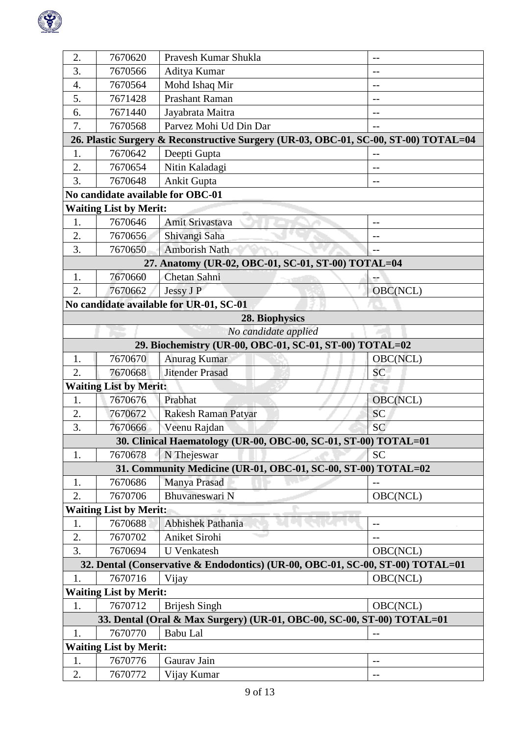

| 2. | 7670620                       | Pravesh Kumar Shukla                                                                | $-$       |
|----|-------------------------------|-------------------------------------------------------------------------------------|-----------|
| 3. | 7670566                       | Aditya Kumar                                                                        | $-$       |
| 4. | 7670564                       | Mohd Ishaq Mir                                                                      | $-$       |
| 5. | 7671428                       | <b>Prashant Raman</b>                                                               | $-$       |
| 6. | 7671440                       | Jayabrata Maitra                                                                    | $-$       |
| 7. | 7670568                       | Parvez Mohi Ud Din Dar                                                              | $-$       |
|    |                               | 26. Plastic Surgery & Reconstructive Surgery (UR-03, OBC-01, SC-00, ST-00) TOTAL=04 |           |
| 1. | 7670642                       | Deepti Gupta                                                                        | $-$       |
| 2. | 7670654                       | Nitin Kaladagi                                                                      |           |
| 3. | 7670648                       | Ankit Gupta                                                                         | $-$       |
|    |                               | No candidate available for OBC-01                                                   |           |
|    | <b>Waiting List by Merit:</b> |                                                                                     |           |
| 1. | 7670646                       | Amit Srivastava                                                                     | $-$       |
| 2. | 7670656                       | Shivangi Saha                                                                       | $-1$      |
| 3. | 7670650                       | <b>Amborish Nath</b>                                                                | $-$       |
|    |                               | 27. Anatomy (UR-02, OBC-01, SC-01, ST-00) TOTAL=04                                  |           |
| 1. | 7670660                       | Chetan Sahni                                                                        |           |
| 2. | 7670662                       | Jessy J P                                                                           | OBC(NCL)  |
|    |                               | No candidate available for UR-01, SC-01                                             |           |
|    |                               | 28. Biophysics                                                                      |           |
|    |                               | No candidate applied                                                                |           |
|    |                               | 29. Biochemistry (UR-00, OBC-01, SC-01, ST-00) TOTAL=02                             |           |
| 1. | 7670670                       | Anurag Kumar                                                                        | OBC(NCL)  |
| 2. | 7670668                       | <b>Jitender Prasad</b>                                                              | SC        |
|    | <b>Waiting List by Merit:</b> |                                                                                     |           |
| 1. | 7670676                       | Prabhat                                                                             | OBC(NCL)  |
| 2. | 7670672                       | Rakesh Raman Patyar                                                                 | SC        |
| 3. | 7670666                       | Veenu Rajdan                                                                        | SC        |
|    |                               | 30. Clinical Haematology (UR-00, OBC-00, SC-01, ST-00) TOTAL=01                     |           |
| 1. | 7670678                       | N Thejeswar                                                                         | <b>SC</b> |
|    |                               | 31. Community Medicine (UR-01, OBC-01, SC-00, ST-00) TOTAL=02                       |           |
| 1. | 7670686                       | Manya Prasad                                                                        | $-$       |
| 2. | 7670706                       | Bhuvaneswari N                                                                      | OBC(NCL)  |
|    | <b>Waiting List by Merit:</b> |                                                                                     |           |
| 1. | 7670688                       | <b>Abhishek Pathania</b>                                                            | $-$       |
| 2. | 7670702                       | Aniket Sirohi                                                                       | $-$       |
| 3. | 7670694                       | <b>U</b> Venkatesh                                                                  | OBC(NCL)  |
|    |                               | 32. Dental (Conservative & Endodontics) (UR-00, OBC-01, SC-00, ST-00) TOTAL=01      |           |
| 1. | 7670716                       | Vijay                                                                               | OBC(NCL)  |
|    | <b>Waiting List by Merit:</b> |                                                                                     |           |
| 1. | 7670712                       | <b>Brijesh Singh</b>                                                                | OBC(NCL)  |
|    |                               | 33. Dental (Oral & Max Surgery) (UR-01, OBC-00, SC-00, ST-00) TOTAL=01              |           |
| 1. | 7670770                       | Babu Lal                                                                            |           |
|    | <b>Waiting List by Merit:</b> |                                                                                     |           |
| 1. | 7670776                       | Gaurav Jain                                                                         | --        |
| 2. | 7670772                       | Vijay Kumar                                                                         | $-$       |
|    |                               |                                                                                     |           |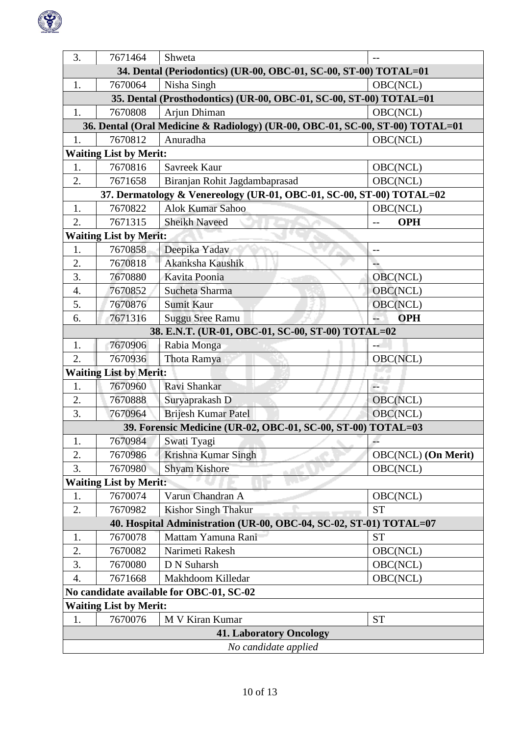

| 3.                                                               | 7671464                       | Shweta                                                                        |                            |  |
|------------------------------------------------------------------|-------------------------------|-------------------------------------------------------------------------------|----------------------------|--|
| 34. Dental (Periodontics) (UR-00, OBC-01, SC-00, ST-00) TOTAL=01 |                               |                                                                               |                            |  |
| 1.                                                               | 7670064                       | Nisha Singh                                                                   | OBC(NCL)                   |  |
|                                                                  |                               | 35. Dental (Prosthodontics) (UR-00, OBC-01, SC-00, ST-00) TOTAL=01            |                            |  |
| 1.                                                               | 7670808                       | Arjun Dhiman                                                                  | OBC(NCL)                   |  |
|                                                                  |                               | 36. Dental (Oral Medicine & Radiology) (UR-00, OBC-01, SC-00, ST-00) TOTAL=01 |                            |  |
| 1.                                                               | 7670812                       | Anuradha                                                                      | OBC(NCL)                   |  |
|                                                                  | <b>Waiting List by Merit:</b> |                                                                               |                            |  |
| 1.                                                               | 7670816                       | Savreek Kaur                                                                  | OBC(NCL)                   |  |
| 2.                                                               | 7671658                       | Biranjan Rohit Jagdambaprasad                                                 | OBC(NCL)                   |  |
|                                                                  |                               | 37. Dermatology & Venereology (UR-01, OBC-01, SC-00, ST-00) TOTAL=02          |                            |  |
| 1.                                                               | 7670822                       | Alok Kumar Sahoo                                                              | OBC(NCL)                   |  |
| 2.                                                               | 7671315                       | <b>Sheikh Naveed</b>                                                          | <b>OPH</b><br>$-$          |  |
|                                                                  | <b>Waiting List by Merit:</b> |                                                                               |                            |  |
| 1.                                                               | 7670858                       | Deepika Yadav                                                                 | $-$                        |  |
| 2.                                                               | 7670818                       | Akanksha Kaushik                                                              |                            |  |
| 3.                                                               | 7670880                       | Kavita Poonia                                                                 | OBC(NCL)                   |  |
| 4.                                                               | 7670852                       | Sucheta Sharma                                                                | OBC(NCL)                   |  |
| 5.                                                               | 7670876                       | <b>Sumit Kaur</b>                                                             | OBC(NCL)                   |  |
| 6.                                                               | 7671316                       | <b>Suggu Sree Ramu</b>                                                        | L.<br><b>OPH</b>           |  |
|                                                                  |                               | 38. E.N.T. (UR-01, OBC-01, SC-00, ST-00) TOTAL=02                             |                            |  |
| 1.                                                               | 7670906                       | Rabia Monga                                                                   |                            |  |
| 2.                                                               | 7670936                       | Thota Ramya                                                                   | OBC(NCL)                   |  |
|                                                                  | <b>Waiting List by Merit:</b> |                                                                               |                            |  |
| 1.                                                               | 7670960                       | Ravi Shankar                                                                  |                            |  |
| 2.                                                               | 7670888                       | Suryaprakash D                                                                | OBC(NCL)                   |  |
| 3.                                                               | 7670964                       | <b>Brijesh Kumar Patel</b>                                                    | OBC(NCL)                   |  |
|                                                                  |                               | 39. Forensic Medicine (UR-02, OBC-01, SC-00, ST-00) TOTAL=03                  |                            |  |
| 1.                                                               |                               | 7670984 Swati Tyagi                                                           | $-$                        |  |
| 2.                                                               | 7670986                       | Krishna Kumar Singh                                                           | <b>OBC(NCL)</b> (On Merit) |  |
| 3.                                                               | 7670980                       | <b>Shyam Kishore</b>                                                          | OBC(NCL)                   |  |
|                                                                  | <b>Waiting List by Merit:</b> |                                                                               |                            |  |
| 1.                                                               | 7670074                       | Varun Chandran A                                                              | OBC(NCL)                   |  |
| 2.                                                               | 7670982                       | <b>Kishor Singh Thakur</b>                                                    | <b>ST</b>                  |  |
|                                                                  |                               | 40. Hospital Administration (UR-00, OBC-04, SC-02, ST-01) TOTAL=07            |                            |  |
| 1.                                                               | 7670078                       | Mattam Yamuna Rani                                                            | <b>ST</b>                  |  |
| 2.                                                               | 7670082                       | Narimeti Rakesh                                                               | OBC(NCL)                   |  |
| 3.                                                               | 7670080                       | D N Suharsh                                                                   | OBC(NCL)                   |  |
| 4.                                                               | 7671668                       | Makhdoom Killedar                                                             | OBC(NCL)                   |  |
|                                                                  |                               | No candidate available for OBC-01, SC-02                                      |                            |  |
|                                                                  | <b>Waiting List by Merit:</b> |                                                                               |                            |  |
| 1.                                                               | 7670076                       | M V Kiran Kumar                                                               | <b>ST</b>                  |  |
|                                                                  |                               | <b>41. Laboratory Oncology</b>                                                |                            |  |
| No candidate applied                                             |                               |                                                                               |                            |  |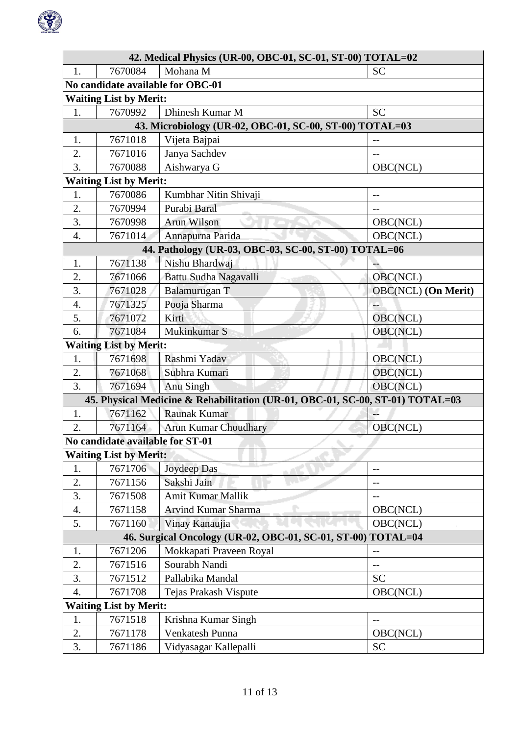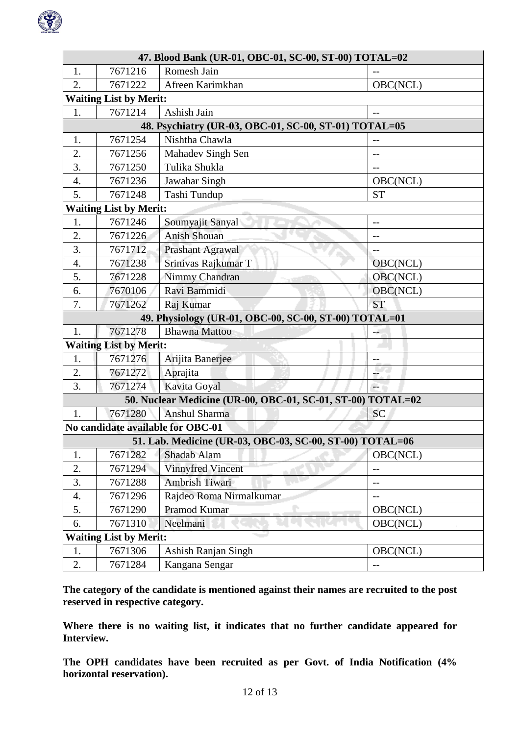

| 47. Blood Bank (UR-01, OBC-01, SC-00, ST-00) TOTAL=02 |                               |                                                             |                   |  |
|-------------------------------------------------------|-------------------------------|-------------------------------------------------------------|-------------------|--|
| 1.                                                    | 7671216                       | Romesh Jain                                                 |                   |  |
| 2.                                                    | 7671222                       | Afreen Karimkhan                                            | OBC(NCL)          |  |
|                                                       | <b>Waiting List by Merit:</b> |                                                             |                   |  |
| 1.                                                    | 7671214                       | Ashish Jain                                                 | $- -$             |  |
|                                                       |                               | 48. Psychiatry (UR-03, OBC-01, SC-00, ST-01) TOTAL=05       |                   |  |
| 1.                                                    | 7671254                       | Nishtha Chawla                                              |                   |  |
| 2.                                                    | 7671256                       | Mahadev Singh Sen                                           | $-$               |  |
| 3.                                                    | 7671250                       | Tulika Shukla                                               |                   |  |
| 4.                                                    | 7671236                       | Jawahar Singh                                               | OBC(NCL)          |  |
| 5.                                                    | 7671248                       | Tashi Tundup                                                | <b>ST</b>         |  |
|                                                       | <b>Waiting List by Merit:</b> |                                                             |                   |  |
| 1.                                                    | 7671246                       | Soumyajit Sanyal                                            | $-$               |  |
| 2.                                                    | 7671226                       | <b>Anish Shouan</b>                                         | $-1$              |  |
| 3.                                                    | 7671712                       | Prashant Agrawal                                            |                   |  |
| 4.                                                    | 7671238                       | Srinivas Rajkumar T                                         | OBC(NCL)          |  |
| 5.                                                    | 7671228                       | Nimmy Chandran                                              | OBC(NCL)          |  |
| 6.                                                    | 7670106                       | Ravi Bammidi                                                | OBC(NCL)          |  |
| 7.                                                    | 7671262                       | Raj Kumar                                                   | <b>ST</b>         |  |
|                                                       |                               | 49. Physiology (UR-01, OBC-00, SC-00, ST-00) TOTAL=01       |                   |  |
| 1.                                                    | 7671278                       | <b>Bhawna</b> Mattoo                                        |                   |  |
|                                                       | <b>Waiting List by Merit:</b> |                                                             |                   |  |
| 1.                                                    | 7671276                       | Arijita Banerjee                                            |                   |  |
| 2.                                                    | 7671272                       | Aprajita                                                    |                   |  |
| 3.                                                    | 7671274                       | Kavita Goyal                                                | ЦL.               |  |
|                                                       |                               | 50. Nuclear Medicine (UR-00, OBC-01, SC-01, ST-00) TOTAL=02 |                   |  |
| 1.                                                    | 7671280                       | Anshul Sharma                                               | SC                |  |
|                                                       |                               | No candidate available for OBC-01                           |                   |  |
|                                                       |                               | 51. Lab. Medicine (UR-03, OBC-03, SC-00, ST-00) TOTAL=06    |                   |  |
| 1.                                                    | 7671282                       | Shadab Alam                                                 | OBC(NCL)          |  |
| 2.                                                    | 7671294                       | Vinnyfred Vincent                                           | --                |  |
| 3.                                                    | 7671288                       | Ambrish Tiwari                                              | $\qquad \qquad -$ |  |
| $\overline{4}$ .                                      | 7671296                       | Rajdeo Roma Nirmalkumar                                     | $-$               |  |
| 5.                                                    | 7671290                       | Pramod Kumar                                                | OBC(NCL)          |  |
| 6.                                                    | 7671310                       | Neelmani                                                    | OBC(NCL)          |  |
|                                                       | <b>Waiting List by Merit:</b> |                                                             |                   |  |
| 1.                                                    | 7671306                       | Ashish Ranjan Singh                                         | OBC(NCL)          |  |
| 2.                                                    | 7671284                       | Kangana Sengar                                              | $-$               |  |

**The category of the candidate is mentioned against their names are recruited to the post reserved in respective category.**

**Where there is no waiting list, it indicates that no further candidate appeared for Interview.**

**The OPH candidates have been recruited as per Govt. of India Notification (4% horizontal reservation).**